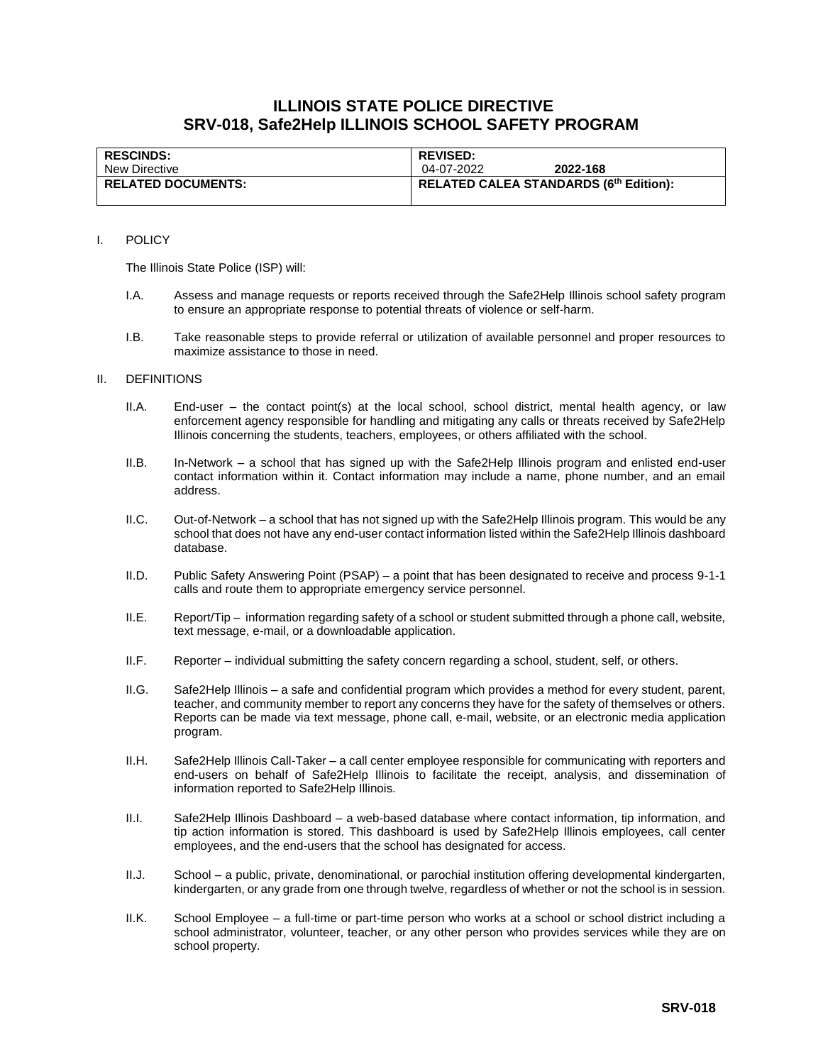# **ILLINOIS STATE POLICE DIRECTIVE SRV-018, Safe2Help ILLINOIS SCHOOL SAFETY PROGRAM**

| <b>RESCINDS:</b>          | <b>REVISED:</b>                        |
|---------------------------|----------------------------------------|
| New Directive             | 04-07-2022<br>2022-168                 |
| <b>RELATED DOCUMENTS:</b> | RELATED CALEA STANDARDS (6th Edition): |
|                           |                                        |

#### I. POLICY

The Illinois State Police (ISP) will:

- I.A. Assess and manage requests or reports received through the Safe2Help Illinois school safety program to ensure an appropriate response to potential threats of violence or self-harm.
- I.B. Take reasonable steps to provide referral or utilization of available personnel and proper resources to maximize assistance to those in need.

#### II. DEFINITIONS

- II.A. End-user the contact point(s) at the local school, school district, mental health agency, or law enforcement agency responsible for handling and mitigating any calls or threats received by Safe2Help Illinois concerning the students, teachers, employees, or others affiliated with the school.
- II.B. In-Network a school that has signed up with the Safe2Help Illinois program and enlisted end-user contact information within it. Contact information may include a name, phone number, and an email address.
- II.C. Out-of-Network a school that has not signed up with the Safe2Help Illinois program. This would be any school that does not have any end-user contact information listed within the Safe2Help Illinois dashboard database.
- II.D. Public Safety Answering Point (PSAP) a point that has been designated to receive and process 9-1-1 calls and route them to appropriate emergency service personnel.
- II.E. Report/Tip information regarding safety of a school or student submitted through a phone call, website, text message, e-mail, or a downloadable application.
- II.F. Reporter individual submitting the safety concern regarding a school, student, self, or others.
- II.G. Safe2Help Illinois a safe and confidential program which provides a method for every student, parent, teacher, and community member to report any concerns they have for the safety of themselves or others. Reports can be made via text message, phone call, e-mail, website, or an electronic media application program.
- II.H. Safe2Help Illinois Call-Taker a call center employee responsible for communicating with reporters and end-users on behalf of Safe2Help Illinois to facilitate the receipt, analysis, and dissemination of information reported to Safe2Help Illinois.
- II.I. Safe2Help Illinois Dashboard a web-based database where contact information, tip information, and tip action information is stored. This dashboard is used by Safe2Help Illinois employees, call center employees, and the end-users that the school has designated for access.
- II.J. School a public, private, denominational, or parochial institution offering developmental kindergarten, kindergarten, or any grade from one through twelve, regardless of whether or not the school is in session.
- II.K. School Employee a full-time or part-time person who works at a school or school district including a school administrator, volunteer, teacher, or any other person who provides services while they are on school property.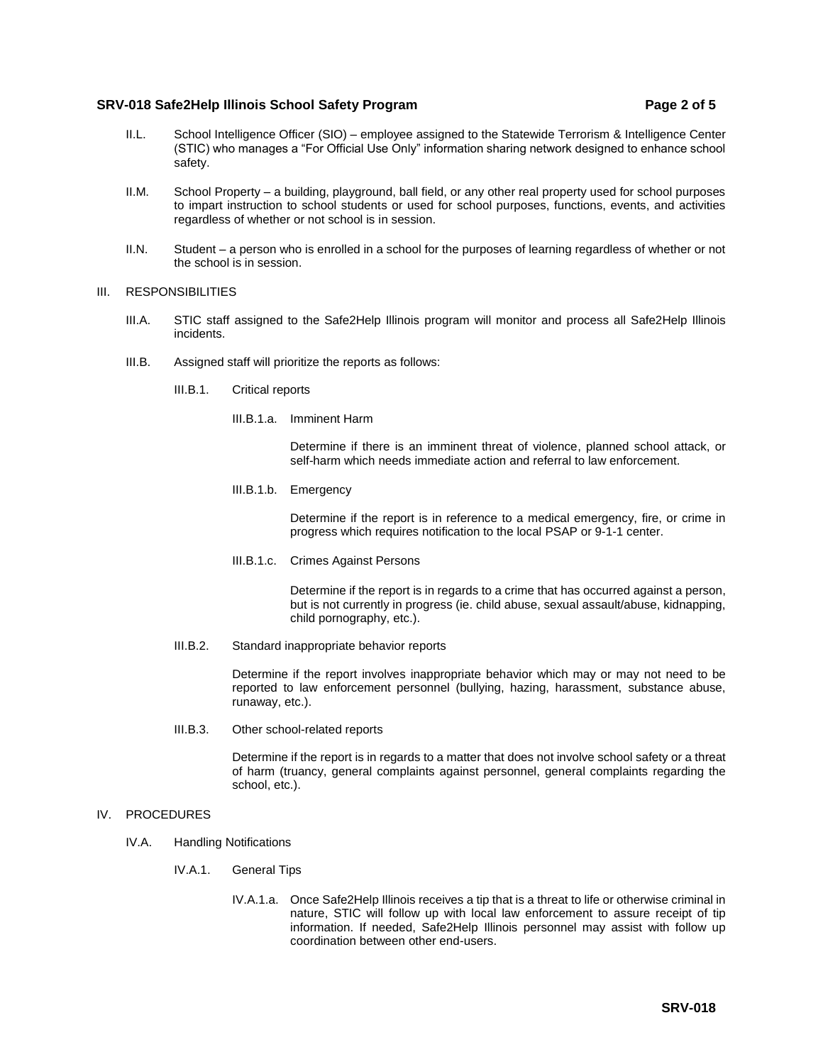# **SRV-018 Safe2Help Illinois School Safety Program Page 2 of 5**

- II.L. School Intelligence Officer (SIO) employee assigned to the Statewide Terrorism & Intelligence Center (STIC) who manages a "For Official Use Only" information sharing network designed to enhance school safety.
- II.M. School Property a building, playground, ball field, or any other real property used for school purposes to impart instruction to school students or used for school purposes, functions, events, and activities regardless of whether or not school is in session.
- II.N. Student a person who is enrolled in a school for the purposes of learning regardless of whether or not the school is in session.

#### III. RESPONSIBILITIES

- III.A. STIC staff assigned to the Safe2Help Illinois program will monitor and process all Safe2Help Illinois incidents.
- III.B. Assigned staff will prioritize the reports as follows:
	- III.B.1. Critical reports
		- III.B.1.a. Imminent Harm

Determine if there is an imminent threat of violence, planned school attack, or self-harm which needs immediate action and referral to law enforcement.

III.B.1.b. Emergency

Determine if the report is in reference to a medical emergency, fire, or crime in progress which requires notification to the local PSAP or 9-1-1 center.

III.B.1.c. Crimes Against Persons

Determine if the report is in regards to a crime that has occurred against a person, but is not currently in progress (ie. child abuse, sexual assault/abuse, kidnapping, child pornography, etc.).

III.B.2. Standard inappropriate behavior reports

Determine if the report involves inappropriate behavior which may or may not need to be reported to law enforcement personnel (bullying, hazing, harassment, substance abuse, runaway, etc.).

III.B.3. Other school-related reports

Determine if the report is in regards to a matter that does not involve school safety or a threat of harm (truancy, general complaints against personnel, general complaints regarding the school, etc.).

#### IV. PROCEDURES

- IV.A. Handling Notifications
	- IV.A.1. General Tips
		- IV.A.1.a. Once Safe2Help Illinois receives a tip that is a threat to life or otherwise criminal in nature, STIC will follow up with local law enforcement to assure receipt of tip information. If needed, Safe2Help Illinois personnel may assist with follow up coordination between other end-users.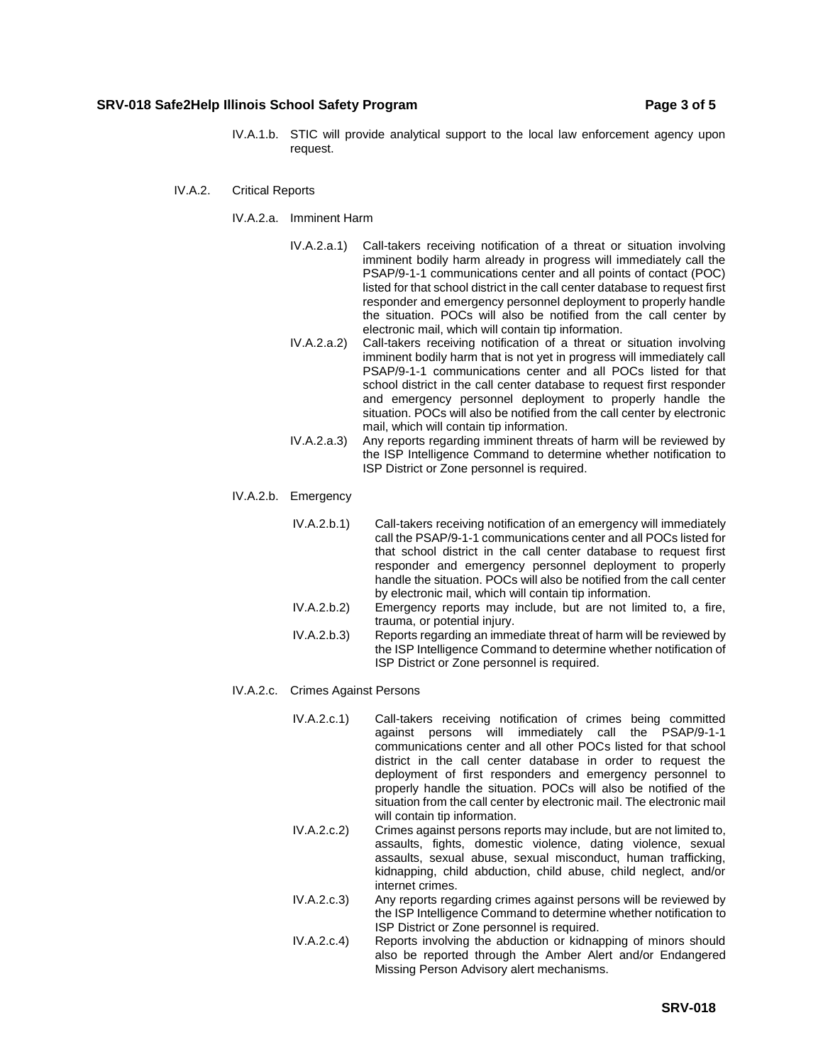### **SRV-018 Safe2Help Illinois School Safety Program Page 3 of 5**

- IV.A.1.b. STIC will provide analytical support to the local law enforcement agency upon request.
- IV.A.2. Critical Reports
	- IV.A.2.a. Imminent Harm
		- IV.A.2.a.1) Call-takers receiving notification of a threat or situation involving imminent bodily harm already in progress will immediately call the PSAP/9-1-1 communications center and all points of contact (POC) listed for that school district in the call center database to request first responder and emergency personnel deployment to properly handle the situation. POCs will also be notified from the call center by electronic mail, which will contain tip information.
		- IV.A.2.a.2) Call-takers receiving notification of a threat or situation involving imminent bodily harm that is not yet in progress will immediately call PSAP/9-1-1 communications center and all POCs listed for that school district in the call center database to request first responder and emergency personnel deployment to properly handle the situation. POCs will also be notified from the call center by electronic mail, which will contain tip information.
		- IV.A.2.a.3) Any reports regarding imminent threats of harm will be reviewed by the ISP Intelligence Command to determine whether notification to ISP District or Zone personnel is required.
	- IV.A.2.b. Emergency
		- IV.A.2.b.1) Call-takers receiving notification of an emergency will immediately call the PSAP/9-1-1 communications center and all POCs listed for that school district in the call center database to request first responder and emergency personnel deployment to properly handle the situation. POCs will also be notified from the call center by electronic mail, which will contain tip information.
		- IV.A.2.b.2) Emergency reports may include, but are not limited to, a fire, trauma, or potential injury.
		- IV.A.2.b.3) Reports regarding an immediate threat of harm will be reviewed by the ISP Intelligence Command to determine whether notification of ISP District or Zone personnel is required.
	- IV.A.2.c. Crimes Against Persons
		- IV.A.2.c.1) Call-takers receiving notification of crimes being committed against persons will immediately call the PSAP/9-1-1 communications center and all other POCs listed for that school district in the call center database in order to request the deployment of first responders and emergency personnel to properly handle the situation. POCs will also be notified of the situation from the call center by electronic mail. The electronic mail will contain tip information.
		- IV.A.2.c.2) Crimes against persons reports may include, but are not limited to, assaults, fights, domestic violence, dating violence, sexual assaults, sexual abuse, sexual misconduct, human trafficking, kidnapping, child abduction, child abuse, child neglect, and/or internet crimes.
		- IV.A.2.c.3) Any reports regarding crimes against persons will be reviewed by the ISP Intelligence Command to determine whether notification to ISP District or Zone personnel is required.
		- IV.A.2.c.4) Reports involving the abduction or kidnapping of minors should also be reported through the Amber Alert and/or Endangered Missing Person Advisory alert mechanisms.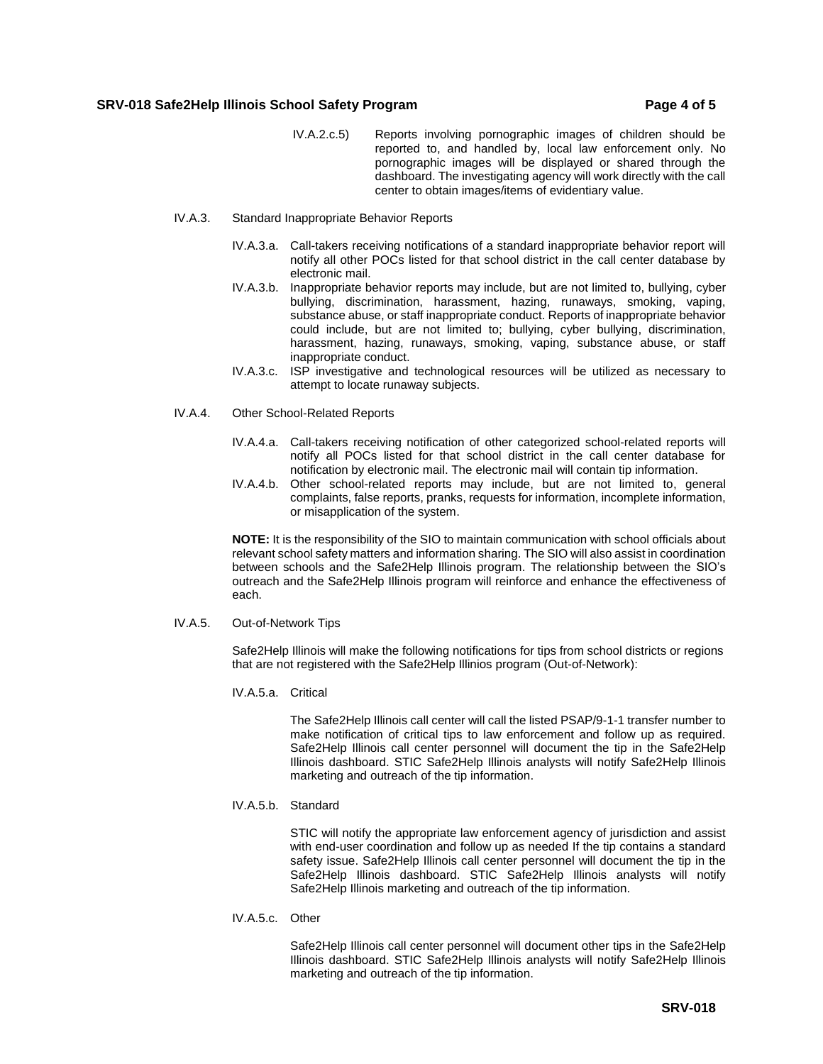# **SRV-018 Safe2Help Illinois School Safety Program Page 4 of 5**

- IV.A.2.c.5) Reports involving pornographic images of children should be reported to, and handled by, local law enforcement only. No pornographic images will be displayed or shared through the dashboard. The investigating agency will work directly with the call center to obtain images/items of evidentiary value.
- IV.A.3. Standard Inappropriate Behavior Reports
	- IV.A.3.a. Call-takers receiving notifications of a standard inappropriate behavior report will notify all other POCs listed for that school district in the call center database by electronic mail.
	- IV.A.3.b. Inappropriate behavior reports may include, but are not limited to, bullying, cyber bullying, discrimination, harassment, hazing, runaways, smoking, vaping, substance abuse, or staff inappropriate conduct. Reports of inappropriate behavior could include, but are not limited to; bullying, cyber bullying, discrimination, harassment, hazing, runaways, smoking, vaping, substance abuse, or staff inappropriate conduct.
	- IV.A.3.c. ISP investigative and technological resources will be utilized as necessary to attempt to locate runaway subjects.
- IV.A.4. Other School-Related Reports
	- IV.A.4.a. Call-takers receiving notification of other categorized school-related reports will notify all POCs listed for that school district in the call center database for notification by electronic mail. The electronic mail will contain tip information.
	- IV.A.4.b. Other school-related reports may include, but are not limited to, general complaints, false reports, pranks, requests for information, incomplete information, or misapplication of the system.

**NOTE:** It is the responsibility of the SIO to maintain communication with school officials about relevant school safety matters and information sharing. The SIO will also assist in coordination between schools and the Safe2Help Illinois program. The relationship between the SIO's outreach and the Safe2Help Illinois program will reinforce and enhance the effectiveness of each.

IV.A.5. Out-of-Network Tips

Safe2Help Illinois will make the following notifications for tips from school districts or regions that are not registered with the Safe2Help Illinios program (Out-of-Network):

IV.A.5.a. Critical

The Safe2Help Illinois call center will call the listed PSAP/9-1-1 transfer number to make notification of critical tips to law enforcement and follow up as required. Safe2Help Illinois call center personnel will document the tip in the Safe2Help Illinois dashboard. STIC Safe2Help Illinois analysts will notify Safe2Help Illinois marketing and outreach of the tip information.

IV.A.5.b. Standard

STIC will notify the appropriate law enforcement agency of jurisdiction and assist with end-user coordination and follow up as needed If the tip contains a standard safety issue. Safe2Help Illinois call center personnel will document the tip in the Safe2Help Illinois dashboard. STIC Safe2Help Illinois analysts will notify Safe2Help Illinois marketing and outreach of the tip information.

IV.A.5.c. Other

Safe2Help Illinois call center personnel will document other tips in the Safe2Help Illinois dashboard. STIC Safe2Help Illinois analysts will notify Safe2Help Illinois marketing and outreach of the tip information.